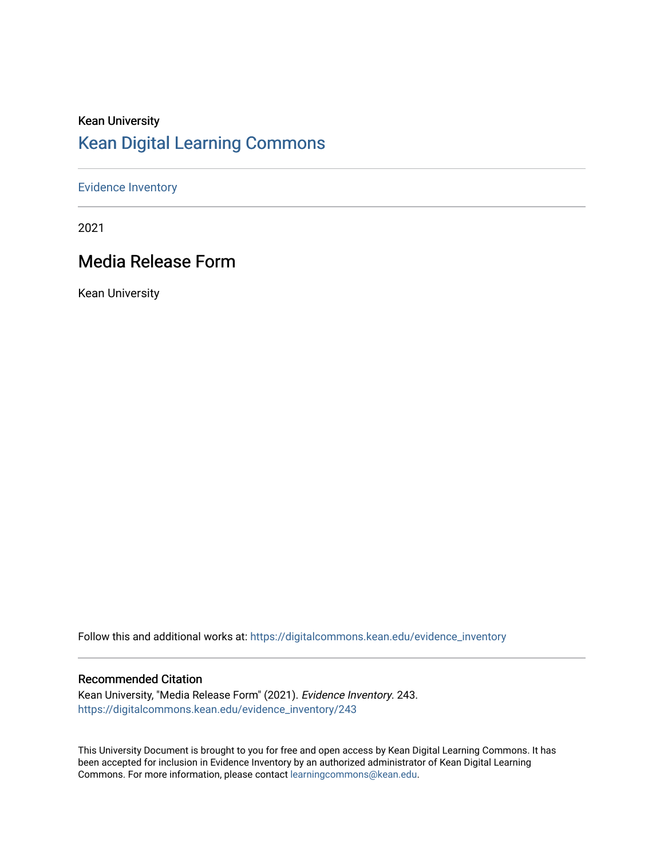# Kean University [Kean Digital Learning Commons](https://digitalcommons.kean.edu/)

## [Evidence Inventory](https://digitalcommons.kean.edu/evidence_inventory)

2021

# Media Release Form

Kean University

Follow this and additional works at: [https://digitalcommons.kean.edu/evidence\\_inventory](https://digitalcommons.kean.edu/evidence_inventory?utm_source=digitalcommons.kean.edu%2Fevidence_inventory%2F243&utm_medium=PDF&utm_campaign=PDFCoverPages)

### Recommended Citation

Kean University, "Media Release Form" (2021). Evidence Inventory. 243. [https://digitalcommons.kean.edu/evidence\\_inventory/243](https://digitalcommons.kean.edu/evidence_inventory/243?utm_source=digitalcommons.kean.edu%2Fevidence_inventory%2F243&utm_medium=PDF&utm_campaign=PDFCoverPages)

This University Document is brought to you for free and open access by Kean Digital Learning Commons. It has been accepted for inclusion in Evidence Inventory by an authorized administrator of Kean Digital Learning Commons. For more information, please contact [learningcommons@kean.edu.](mailto:learningcommons@kean.edu)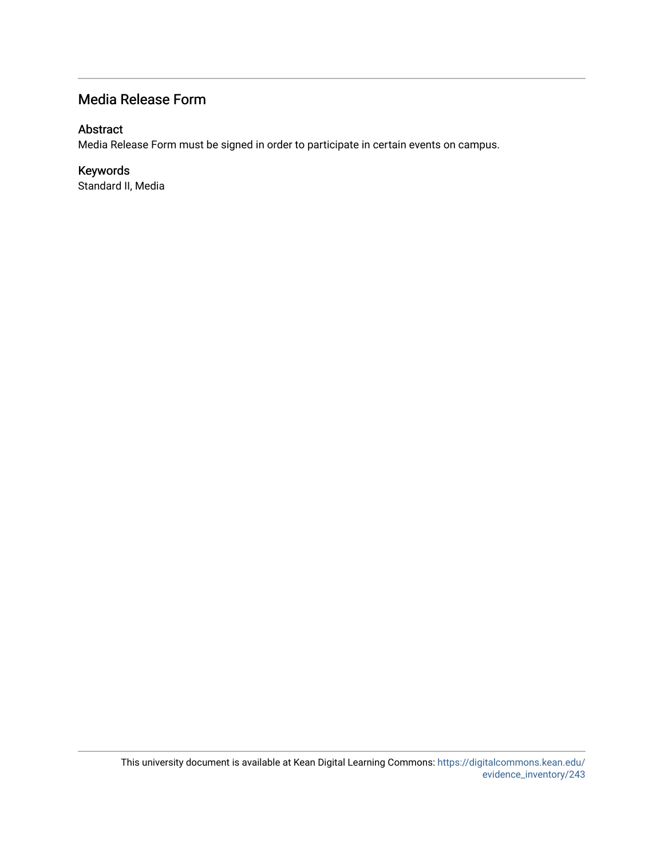## Media Release Form

## Abstract

Media Release Form must be signed in order to participate in certain events on campus.

## Keywords

Standard II, Media